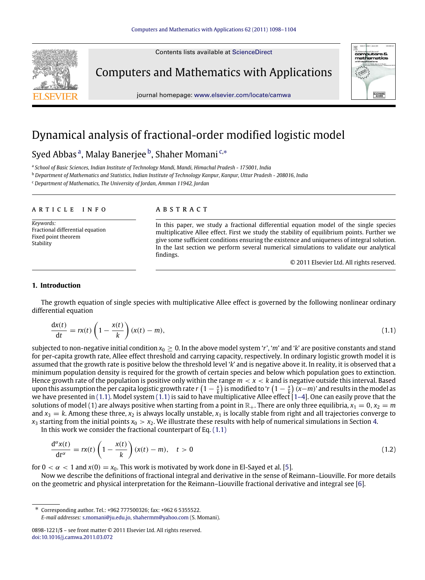Contents lists available at [ScienceDirect](http://www.elsevier.com/locate/camwa)



Computers and Mathematics with Applications



# Dynamical analysis of fractional-order modified logistic model

# Syed Abb[a](#page-0-0)s <sup>a</sup>, Malay Banerjee <sup>[b](#page-0-1)</sup>, Shaher Momani <sup>[c,](#page-0-2)</sup>\*

<span id="page-0-0"></span>a *School of Basic Sciences, Indian Institute of Technology Mandi, Mandi, Himachal Pradesh - 175001, India*

<span id="page-0-1"></span><sup>b</sup> *Department of Mathematics and Statistics, Indian Institute of Technology Kanpur, Kanpur, Uttar Pradesh - 208016, India*

<span id="page-0-2"></span><sup>c</sup> *Department of Mathematics, The University of Jordan, Amman 11942, Jordan*

### ARTICLE INFO

*Keywords:* Fractional differential equation Fixed point theorem Stability

# a b s t r a c t

In this paper, we study a fractional differential equation model of the single species multiplicative Allee effect. First we study the stability of equilibrium points. Further we give some sufficient conditions ensuring the existence and uniqueness of integral solution. In the last section we perform several numerical simulations to validate our analytical findings.

<span id="page-0-5"></span><span id="page-0-4"></span>© 2011 Elsevier Ltd. All rights reserved.

ELECTRONI

### **1. Introduction**

The growth equation of single species with multiplicative Allee effect is governed by the following nonlinear ordinary differential equation

$$
\frac{dx(t)}{dt} = rx(t)\left(1 - \frac{x(t)}{k}\right)(x(t) - m),\tag{1.1}
$$

subjected to non-negative initial condition  $x_0 \ge 0$ . In the above model system 'r', 'm' and 'k' are positive constants and stand for per-capita growth rate, Allee effect threshold and carrying capacity, respectively. In ordinary logistic growth model it is assumed that the growth rate is positive below the threshold level '*k*' and is negative above it. In reality, it is observed that a minimum population density is required for the growth of certain species and below which population goes to extinction. Hence growth rate of the population is positive only within the range *m* < *x* < *k* and is negative outside this interval. Based upon this assumption the per capita logistic growth rate  $r\left(1-\frac{x}{k}\right)$  is modified to '*r*  $\left(1-\frac{x}{k}\right)$  (*x*−*m*)' and results in the model as we have presented in [\(1.1\).](#page-0-4) Model system [\(1.1\)](#page-0-4) is said to have multiplicative Allee effect  $1-4$ ]. One can easily prove that the solutions of model (1) are always positive when starting from a point in  $\mathbb{R}_+$ . There are only three equilibria,  $x_1 = 0$ ,  $x_2 = m$ and  $x_3 = k$ . Among these three,  $x_2$  is always locally unstable,  $x_1$  is locally stable from right and all trajectories converge to  $x_3$  starting from the initial points  $x_0 > x_2$ . We illustrate these results with help of numerical simulations in Section [4.](#page-4-0)

In this work we consider the fractional counterpart of Eq.  $(1.1)$ 

$$
\frac{d^{\alpha}x(t)}{dt^{\alpha}} = rx(t)\left(1 - \frac{x(t)}{k}\right)(x(t) - m), \quad t > 0
$$
\n(1.2)

for  $0 < \alpha < 1$  and  $x(0) = x_0$ . This work is motivated by work done in El-Sayed et al. [\[5\]](#page-6-1).

Now we describe the definitions of fractional integral and derivative in the sense of Reimann–Liouville. For more details on the geometric and physical interpretation for the Reimann–Liouville fractional derivative and integral see [\[6\]](#page-6-2).

<span id="page-0-3"></span>∗ Corresponding author. Tel.: +962 777500326; fax: +962 6 5355522. *E-mail addresses:* [s.momani@ju.edu.jo,](mailto:s.momani@ju.edu.jo) [shahermm@yahoo.com](mailto:shahermm@yahoo.com) (S. Momani).

<sup>0898-1221/\$ –</sup> see front matter © 2011 Elsevier Ltd. All rights reserved. [doi:10.1016/j.camwa.2011.03.072](http://dx.doi.org/10.1016/j.camwa.2011.03.072)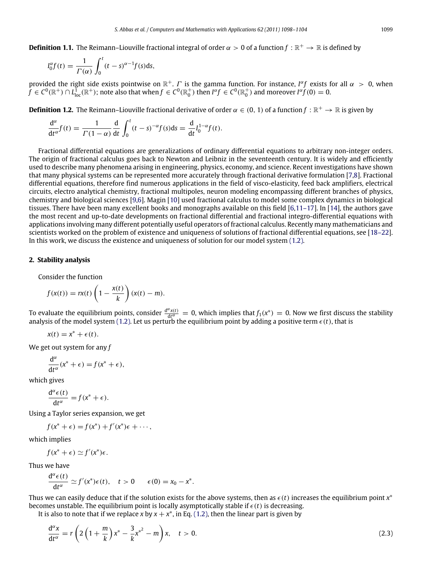**Definition 1.1.** The Reimann–Liouville fractional integral of order  $\alpha > 0$  of a function  $f : \mathbb{R}^+ \to \mathbb{R}$  is defined by

$$
I_0^{\alpha}f(t) = \frac{1}{\Gamma(\alpha)} \int_0^t (t-s)^{\alpha-1} f(s) \mathrm{d}s,
$$

provided the right side exists pointwise on  $\mathbb{R}^+$ . *Γ* is the gamma function. For instance, *I<sup>α</sup>f* exists for all  $\alpha > 0$ , when  $\hat{f}\in C^0(\mathbb R^+)\cap L^{\vec{1}}_{\rm loc}(\mathbb R^+);$  note also that when  $f\in C^0(\mathbb R^+_0)$  then  $I^\alpha f\in C^0(\mathbb R^+_0)$  and moreover  $I^\alpha f(0)=0.$ 

**Definition 1.2.** The Reimann–Liouville fractional derivative of order  $\alpha \in (0, 1)$  of a function  $f : \mathbb{R}^+ \to \mathbb{R}$  is given by

$$
\frac{d^{\alpha}}{dt^{\alpha}}f(t) = \frac{1}{\Gamma(1-\alpha)}\frac{d}{dt}\int_0^t (t-s)^{-\alpha}f(s)ds = \frac{d}{dt}I_0^{1-\alpha}f(t).
$$

Fractional differential equations are generalizations of ordinary differential equations to arbitrary non-integer orders. The origin of fractional calculus goes back to Newton and Leibniz in the seventeenth century. It is widely and efficiently used to describe many phenomena arising in engineering, physics, economy, and science. Recent investigations have shown that many physical systems can be represented more accurately through fractional derivative formulation [\[7,](#page-6-3)[8\]](#page-6-4). Fractional differential equations, therefore find numerous applications in the field of visco-elasticity, feed back amplifiers, electrical circuits, electro analytical chemistry, fractional multipoles, neuron modeling encompassing different branches of physics, chemistry and biological sciences [\[9,](#page-6-5)[6\]](#page-6-2). Magin [\[10\]](#page-6-6) used fractional calculus to model some complex dynamics in biological tissues. There have been many excellent books and monographs available on this field [\[6,](#page-6-2)[11–17\]](#page-6-7). In [\[14\]](#page-6-8), the authors gave the most recent and up-to-date developments on fractional differential and fractional integro-differential equations with applications involving many different potentially useful operators of fractional calculus. Recently many mathematicians and scientists worked on the problem of existence and uniqueness of solutions of fractional differential equations, see [\[18–22\]](#page-6-9). In this work, we discuss the existence and uniqueness of solution for our model system [\(1.2\).](#page-0-5)

# **2. Stability analysis**

Consider the function

$$
f(x(t)) = rx(t)\left(1 - \frac{x(t)}{k}\right)(x(t) - m).
$$

To evaluate the equilibrium points, consider  $\frac{d^{\alpha}x(t)}{dt^{\alpha}}=0$ , which implies that  $f_1(x^*)=0$ . Now we first discuss the stability analysis of the model system [\(1.2\).](#page-0-5) Let us perturb the equilibrium point by adding a positive term  $\epsilon(t)$ , that is

$$
x(t) = x^* + \epsilon(t).
$$

We get out system for any *f*

$$
\frac{d^{\alpha}}{dt^{\alpha}}(x^* + \epsilon) = f(x^* + \epsilon),
$$

which gives

$$
\frac{\mathrm{d}^{\alpha}\epsilon(t)}{\mathrm{d}t^{\alpha}}=f(x^*+\epsilon).
$$

Using a Taylor series expansion, we get

$$
f(x^* + \epsilon) = f(x^*) + f'(x^*)\epsilon + \cdots,
$$

which implies

$$
f(x^* + \epsilon) \simeq f'(x^*)\epsilon.
$$

Thus we have

$$
\frac{d^{\alpha}\epsilon(t)}{dt^{\alpha}}\simeq f'(x^*)\epsilon(t), \quad t>0 \qquad \epsilon(0)=x_0-x^*.
$$

Thus we can easily deduce that if the solution exists for the above systems, then as  $\epsilon(t)$  increases the equilibrium point  $x^*$ becomes unstable. The equilibrium point is locally asymptotically stable if  $\epsilon(t)$  is decreasing.

It is also to note that if we replace  $x$  by  $x + x^*$ , in Eq. [\(1.2\),](#page-0-5) then the linear part is given by

$$
\frac{d^{\alpha}x}{dt^{\alpha}} = r\left(2\left(1 + \frac{m}{k}\right)x^* - \frac{3}{k}x^{*^2} - m\right)x, \quad t > 0.
$$
\n(2.3)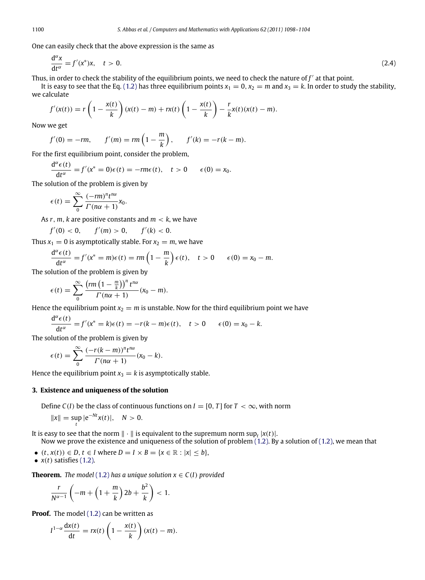One can easily check that the above expression is the same as

$$
\frac{d^{\alpha}x}{dt^{\alpha}} = f'(x^*)x, \quad t > 0.
$$
\n(2.4)

Thus, in order to check the stability of the equilibrium points, we need to check the nature of  $f'$  at that point.

It is easy to see that the Eq. [\(1.2\)](#page-0-5) has three equilibrium points  $x_1 = 0$ ,  $x_2 = m$  and  $x_3 = k$ . In order to study the stability, we calculate

$$
f'(x(t)) = r\left(1 - \frac{x(t)}{k}\right)(x(t) - m) + rx(t)\left(1 - \frac{x(t)}{k}\right) - \frac{r}{k}x(t)(x(t) - m).
$$

Now we get

$$
f'(0) = -rm
$$
,  $f'(m) = rm\left(1 - \frac{m}{k}\right)$ ,  $f'(k) = -r(k - m)$ .

For the first equilibrium point, consider the problem,

$$
\frac{d^{\alpha}\epsilon(t)}{dt^{\alpha}} = f'(x^* = 0)\epsilon(t) = -rm\(\epsilon t), \quad t > 0 \quad \epsilon(0) = x_0.
$$

The solution of the problem is given by

$$
\epsilon(t) = \sum_{0}^{\infty} \frac{(-rm)^n t^{n\alpha}}{\Gamma(n\alpha + 1)} x_0.
$$

As *r*, *m*, *k* are positive constants and *m* < *k*, we have

$$
f'(0) < 0, \qquad f'(m) > 0, \qquad f'(k) < 0.
$$

Thus  $x_1 = 0$  is asymptotically stable. For  $x_2 = m$ , we have

$$
\frac{d^{\alpha}\epsilon(t)}{dt^{\alpha}} = f'(x^*) = m\epsilon(t) = rm\left(1 - \frac{m}{k}\right)\epsilon(t), \quad t > 0 \quad \epsilon(0) = x_0 - m.
$$

The solution of the problem is given by

$$
\epsilon(t) = \sum_{0}^{\infty} \frac{\left(r m \left(1 - \frac{m}{k}\right)\right)^n t^{n\alpha}}{\Gamma(n\alpha + 1)} (x_0 - m).
$$

Hence the equilibrium point  $x_2 = m$  is unstable. Now for the third equilibrium point we have

$$
\frac{d^{\alpha}\epsilon(t)}{dt^{\alpha}} = f'(x^* = k)\epsilon(t) = -r(k-m)\epsilon(t), \quad t > 0 \quad \epsilon(0) = x_0 - k.
$$

The solution of the problem is given by

$$
\epsilon(t) = \sum_{0}^{\infty} \frac{(-r(k-m))^n t^{n\alpha}}{\Gamma(n\alpha+1)} (x_0 - k).
$$

Hence the equilibrium point  $x_3 = k$  is asymptotically stable.

# **3. Existence and uniqueness of the solution**

Define  $C(I)$  be the class of continuous functions on  $I = [0, T]$  for  $T < \infty$ , with norm

$$
||x|| = \sup_{t} |e^{-Nt}x(t)|, \quad N > 0.
$$

It is easy to see that the norm  $\|\cdot\|$  is equivalent to the supremum norm  $\sup_{t} |x(t)|$ .

Now we prove the existence and uniqueness of the solution of problem [\(1.2\).](#page-0-5) By a solution of [\(1.2\),](#page-0-5) we mean that

 $\bullet$  (*t*, *x*(*t*)) ∈ *D*, *t* ∈ *I* where *D* = *I* × *B* = {*x* ∈ ℝ : |*x*| ≤ *b*},

• 
$$
x(t)
$$
 satisfies (1.2).

**Theorem.** *The model* [\(1.2\)](#page-0-5) *has a unique solution*  $x \in C(I)$  *provided* 

$$
\frac{r}{N^{\alpha-1}}\left(-m+\left(1+\frac{m}{k}\right)2b+\frac{b^2}{k}\right)<1.
$$

**Proof.** The model [\(1.2\)](#page-0-5) can be written as

$$
I^{1-\alpha} \frac{dx(t)}{dt} = rx(t) \left(1 - \frac{x(t)}{k}\right) (x(t) - m).
$$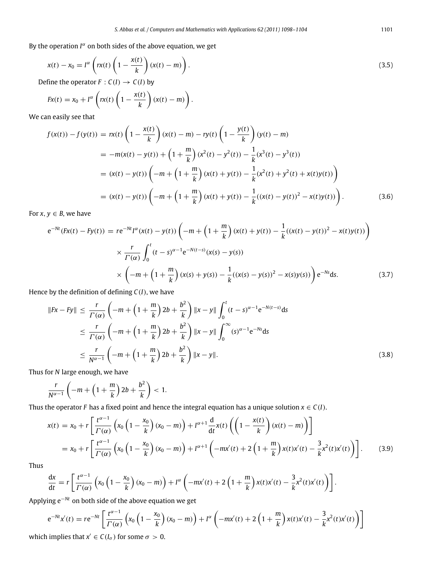By the operation  $I^{\alpha}$  on both sides of the above equation, we get

$$
x(t) - x_0 = I^{\alpha} \left( r x(t) \left( 1 - \frac{x(t)}{k} \right) (x(t) - m) \right).
$$
\n(3.5)

Define the operator  $F: C(I) \to C(I)$  by

<span id="page-3-0"></span>
$$
Fx(t) = x_0 + I^{\alpha}\left(rx(t)\left(1 - \frac{x(t)}{k}\right)(x(t) - m)\right).
$$

We can easily see that

$$
f(x(t)) - f(y(t)) = rx(t) \left(1 - \frac{x(t)}{k}\right) (x(t) - m) - ry(t) \left(1 - \frac{y(t)}{k}\right) (y(t) - m)
$$
  
\n
$$
= -m(x(t) - y(t)) + \left(1 + \frac{m}{k}\right) (x^{2}(t) - y^{2}(t)) - \frac{1}{k} (x^{3}(t) - y^{3}(t))
$$
  
\n
$$
= (x(t) - y(t)) \left( -m + \left(1 + \frac{m}{k}\right) (x(t) + y(t)) - \frac{1}{k} (x^{2}(t) + y^{2}(t) + x(t)y(t))\right)
$$
  
\n
$$
= (x(t) - y(t)) \left( -m + \left(1 + \frac{m}{k}\right) (x(t) + y(t)) - \frac{1}{k} ((x(t) - y(t))^{2} - x(t)y(t))\right).
$$
\n(3.6)

For  $x, y \in B$ , we have

$$
e^{-Nt}(Fx(t) - Fy(t)) = re^{-Nt}I^{\alpha}(x(t) - y(t)) \left( -m + \left(1 + \frac{m}{k}\right)(x(t) + y(t)) - \frac{1}{k}((x(t) - y(t))^2 - x(t)y(t))\right)
$$
  

$$
\times \frac{r}{\Gamma(\alpha)} \int_0^t (t - s)^{\alpha - 1} e^{-N(t - s)} (x(s) - y(s))
$$
  

$$
\times \left( -m + \left(1 + \frac{m}{k}\right)(x(s) + y(s)) - \frac{1}{k}((x(s) - y(s))^2 - x(s)y(s))\right) e^{-Ns} ds.
$$
 (3.7)

Hence by the definition of defining *C*(*I*), we have

$$
||Fx - Fy|| \le \frac{r}{\Gamma(\alpha)} \left( -m + \left( 1 + \frac{m}{k} \right) 2b + \frac{b^2}{k} \right) ||x - y|| \int_0^t (t - s)^{\alpha - 1} e^{-N(t - s)} ds
$$
  
\n
$$
\le \frac{r}{\Gamma(\alpha)} \left( -m + \left( 1 + \frac{m}{k} \right) 2b + \frac{b^2}{k} \right) ||x - y|| \int_0^\infty (s)^{\alpha - 1} e^{-Ns} ds
$$
  
\n
$$
\le \frac{r}{N^{\alpha - 1}} \left( -m + \left( 1 + \frac{m}{k} \right) 2b + \frac{b^2}{k} \right) ||x - y||.
$$
\n(3.8)

Thus for *N* large enough, we have

$$
\frac{r}{N^{\alpha-1}}\left(-m+\left(1+\frac{m}{k}\right)2b+\frac{b^2}{k}\right)<1.
$$

Thus the operator *F* has a fixed point and hence the integral equation has a unique solution  $x \in C(I)$ .

$$
x(t) = x_0 + r \left[ \frac{t^{\alpha - 1}}{\Gamma(\alpha)} \left( x_0 \left( 1 - \frac{x_0}{k} \right) (x_0 - m) \right) + I^{\alpha + 1} \frac{d}{dt} x(t) \left( \left( 1 - \frac{x(t)}{k} \right) (x(t) - m) \right) \right]
$$
  
=  $x_0 + r \left[ \frac{t^{\alpha - 1}}{\Gamma(\alpha)} \left( x_0 \left( 1 - \frac{x_0}{k} \right) (x_0 - m) \right) + I^{\alpha + 1} \left( -mx'(t) + 2 \left( 1 + \frac{m}{k} \right) x(t) x'(t) - \frac{3}{k} x^2(t) x'(t) \right) \right].$  (3.9)

Thus

$$
\frac{dx}{dt} = r \left[ \frac{t^{\alpha-1}}{\Gamma(\alpha)} \left( x_0 \left( 1 - \frac{x_0}{k} \right) (x_0 - m) \right) + I^{\alpha} \left( -mx'(t) + 2 \left( 1 + \frac{m}{k} \right) x(t) x'(t) - \frac{3}{k} x^2(t) x'(t) \right) \right].
$$

Applying e−*Nt* on both side of the above equation we get

$$
e^{-Nt}x'(t) = re^{-Nt}\left[\frac{t^{\alpha-1}}{\Gamma(\alpha)}\left(x_0\left(1-\frac{x_0}{k}\right)(x_0-m)\right) + I^{\alpha}\left(-mx'(t) + 2\left(1+\frac{m}{k}\right)x(t)x'(t) - \frac{3}{k}x^2(t)x'(t)\right)\right]
$$

which implies that  $x' \in C(I_{\sigma})$  for some  $\sigma > 0$ .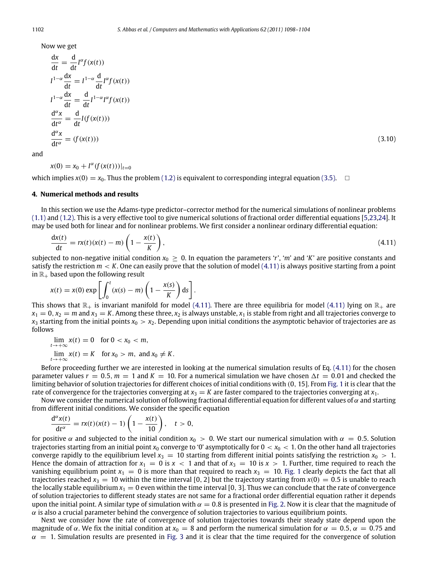Now we get

$$
\frac{dx}{dt} = \frac{d}{dt} I^{\alpha} f(x(t))
$$
\n
$$
I^{1-\alpha} \frac{dx}{dt} = I^{1-\alpha} \frac{d}{dt} I^{\alpha} f(x(t))
$$
\n
$$
I^{1-\alpha} \frac{dx}{dt} = \frac{d}{dt} I^{1-\alpha} I^{\alpha} f(x(t))
$$
\n
$$
\frac{d^{\alpha}x}{dt^{\alpha}} = \frac{d}{dt} I(f(x(t)))
$$
\n
$$
\frac{d^{\alpha}x}{dt^{\alpha}} = (f(x(t)))
$$
\n(3.10)

and

 $x(0) = x_0 + I^{\alpha}(f(x(t)))|_{t=0}$ 

which implies  $x(0) = x_0$ . Thus the problem [\(1.2\)](#page-0-5) is equivalent to corresponding integral equation [\(3.5\).](#page-3-0)  $\Box$ 

## <span id="page-4-0"></span>**4. Numerical methods and results**

In this section we use the Adams-type predictor–corrector method for the numerical simulations of nonlinear problems [\(1.1\)](#page-0-4) and [\(1.2\).](#page-0-5) This is a very effective tool to give numerical solutions of fractional order differential equations [\[5](#page-6-1)[,23,](#page-6-10)[24\]](#page-6-11). It may be used both for linear and for nonlinear problems. We first consider a nonlinear ordinary differential equation:

<span id="page-4-1"></span>
$$
\frac{dx(t)}{dt} = rx(t)(x(t) - m)\left(1 - \frac{x(t)}{K}\right),\tag{4.11}
$$

subjected to non-negative initial condition  $x_0 \ge 0$ . In equation the parameters '*r*', '*m*' and '*K*' are positive constants and satisfy the restriction  $m < K$ . One can easily prove that the solution of model  $(4.11)$  is always positive starting from a point in  $\mathbb{R}_+$  based upon the following result

$$
x(t) = x(0) \exp \left[ \int_0^t (x(s) - m) \left( 1 - \frac{x(s)}{K} \right) ds \right].
$$

This shows that  $\mathbb{R}_+$  is invariant manifold for model [\(4.11\).](#page-4-1) There are three equilibria for model [\(4.11\)](#page-4-1) lying on  $\mathbb{R}_+$  are  $x_1 = 0$ ,  $x_2 = m$  and  $x_3 = K$ . Among these three,  $x_2$  is always unstable,  $x_1$  is stable from right and all trajectories converge to  $x_3$  starting from the initial points  $x_0 > x_2$ . Depending upon initial conditions the asymptotic behavior of trajectories are as follows

$$
\lim_{t \to +\infty} x(t) = 0 \quad \text{for } 0 < x_0 < m,
$$
\n
$$
\lim_{t \to +\infty} x(t) = K \quad \text{for } x_0 > m, \text{ and } x_0 \neq K.
$$

Before proceeding further we are interested in looking at the numerical simulation results of Eq. [\(4.11\)](#page-4-1) for the chosen parameter values  $r = 0.5$ ,  $m = 1$  and  $K = 10$ . For a numerical simulation we have chosen  $\Delta t = 0.01$  and checked the limiting behavior of solution trajectories for different choices of initial conditions with (0, 15]. From [Fig. 1](#page-5-0) it is clear that the rate of convergence for the trajectories converging at  $x_3 = K$  are faster compared to the trajectories converging at  $x_1$ .

Now we consider the numerical solution of following fractional differential equation for different values of  $\alpha$  and starting from different initial conditions. We consider the specific equation

$$
\frac{d^{\alpha}x(t)}{dt^{\alpha}}=rx(t)(x(t)-1)\left(1-\frac{x(t)}{10}\right), \quad t>0,
$$

for positive  $\alpha$  and subjected to the initial condition  $x_0 > 0$ . We start our numerical simulation with  $\alpha = 0.5$ . Solution trajectories starting from an initial point  $x_0$  converge to '0' asymptotically for  $0 < x_0 < 1$ . On the other hand all trajectories converge rapidly to the equilibrium level  $x_3 = 10$  starting from different initial points satisfying the restriction  $x_0 > 1$ . Hence the domain of attraction for  $x_1 = 0$  is  $x < 1$  and that of  $x_3 = 10$  is  $x > 1$ . Further, time required to reach the vanishing equilibrium point  $x_1 = 0$  is more than that required to reach  $x_3 = 10$ . [Fig. 1](#page-5-0) clearly depicts the fact that all trajectories reached  $x_3 = 10$  within the time interval [0, 2] but the trajectory starting from  $x(0) = 0.5$  is unable to reach the locally stable equilibrium  $x_1 = 0$  even within the time interval [0, 3]. Thus we can conclude that the rate of convergence of solution trajectories to different steady states are not same for a fractional order differential equation rather it depends upon the initial point. A similar type of simulation with  $\alpha = 0.8$  is presented in [Fig. 2.](#page-5-1) Now it is clear that the magnitude of  $\alpha$  is also a crucial parameter behind the convergence of solution trajectories to various equilibrium points.

Next we consider how the rate of convergence of solution trajectories towards their steady state depend upon the magnitude of  $\alpha$ . We fix the initial condition at  $x_0 = 8$  and perform the numerical simulation for  $\alpha = 0.5$ ,  $\alpha = 0.75$  and  $\alpha = 1$ . Simulation results are presented in [Fig. 3](#page-5-2) and it is clear that the time required for the convergence of solution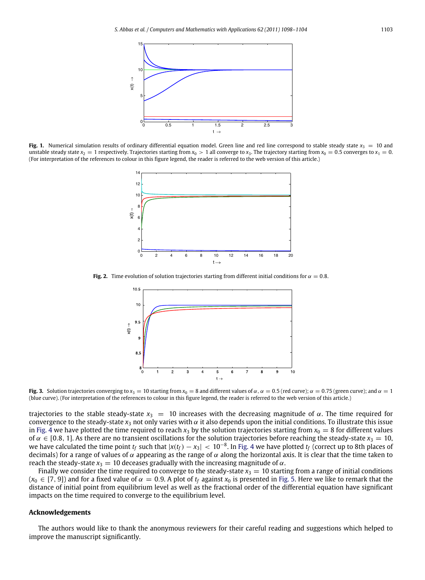<span id="page-5-0"></span>

<span id="page-5-1"></span>**Fig. 1.** Numerical simulation results of ordinary differential equation model. Green line and red line correspond to stable steady state  $x_3 = 10$  and unstable steady state  $x_2 = 1$  respectively. Trajectories starting from  $x_0 > 1$  all converge to  $x_3$ . The trajectory starting from  $x_0 = 0.5$  converges to  $x_1 = 0$ . (For interpretation of the references to colour in this figure legend, the reader is referred to the web version of this article.)



<span id="page-5-2"></span>**Fig. 2.** Time evolution of solution trajectories starting from different initial conditions for  $\alpha = 0.8$ .



**Fig. 3.** Solution trajectories converging to  $x_3 = 10$  starting from  $x_0 = 8$  and different values of  $\alpha$ ,  $\alpha = 0.5$  (red curve);  $\alpha = 0.75$  (green curve); and  $\alpha = 1$ (blue curve). (For interpretation of the references to colour in this figure legend, the reader is referred to the web version of this article.)

trajectories to the stable steady-state  $x_3 = 10$  increases with the decreasing magnitude of  $\alpha$ . The time required for convergence to the steady-state  $x_3$  not only varies with  $\alpha$  it also depends upon the initial conditions. To illustrate this issue in [Fig. 4](#page-6-12) we have plotted the time required to reach  $x_3$  by the solution trajectories starting from  $x_0 = 8$  for different values of  $\alpha \in [0.8, 1]$ . As there are no transient oscillations for the solution trajectories before reaching the steady-state  $x_3 = 10$ , we have calculated the time point  $t_f$  such that  $|x(t_f)-x_3|< 10^{-8}$ . In [Fig. 4](#page-6-12) we have plotted  $t_f$  (correct up to 8th places of decimals) for a range of values of  $\alpha$  appearing as the range of  $\alpha$  along the horizontal axis. It is clear that the time taken to reach the steady-state  $x_3 = 10$  deceases gradually with the increasing magnitude of  $\alpha$ .

Finally we consider the time required to converge to the steady-state  $x_3 = 10$  starting from a range of initial conditions  $(x_0 \in [7, 9]$  and for a fixed value of  $\alpha = 0.9$ . A plot of  $t_f$  against  $x_0$  is presented in [Fig. 5.](#page-6-13) Here we like to remark that the distance of initial point from equilibrium level as well as the fractional order of the differential equation have significant impacts on the time required to converge to the equilibrium level.

### **Acknowledgements**

The authors would like to thank the anonymous reviewers for their careful reading and suggestions which helped to improve the manuscript significantly.